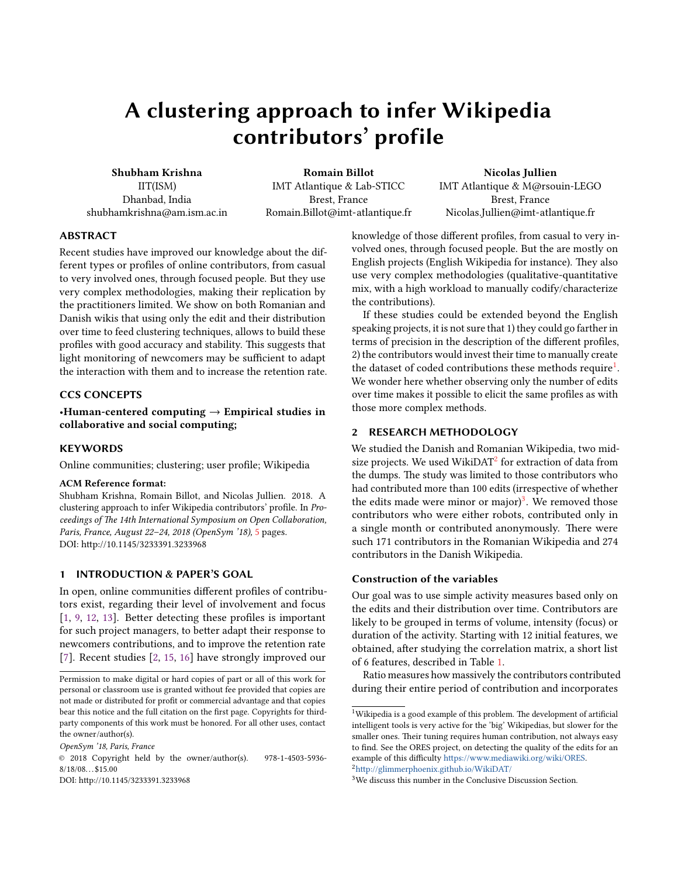# A clustering approach to infer Wikipedia contributors' profile

Shubham Krishna IIT(ISM) Dhanbad, India shubhamkrishna@am.ism.ac.in

Romain Billot IMT Atlantique & Lab-STICC Brest, France Romain.Billot@imt-atlantique.fr

Nicolas Jullien IMT Atlantique & M@rsouin-LEGO Brest, France Nicolas.Jullien@imt-atlantique.fr

# ABSTRACT

Recent studies have improved our knowledge about the different types or profiles of online contributors, from casual to very involved ones, through focused people. But they use very complex methodologies, making their replication by the practitioners limited. We show on both Romanian and Danish wikis that using only the edit and their distribution over time to feed clustering techniques, allows to build these profiles with good accuracy and stability. This suggests that light monitoring of newcomers may be sufficient to adapt the interaction with them and to increase the retention rate.

# CCS CONCEPTS

•Human-centered computing  $\rightarrow$  Empirical studies in collaborative and social computing;

### **KEYWORDS**

Online communities; clustering; user profile; Wikipedia

### ACM Reference format:

Shubham Krishna, Romain Billot, and Nicolas Jullien. 2018. A clustering approach to infer Wikipedia contributors' profile. In Proceedings of The 14th International Symposium on Open Collaboration, Paris, France, August 22–24, 2018 (OpenSym '18), [5](#page-4-0) pages. DOI: http://10.1145/3233391.3233968

# 1 INTRODUCTION & PAPER'S GOAL

In open, online communities different profiles of contributors exist, regarding their level of involvement and focus  $[1, 9, 12, 13]$  $[1, 9, 12, 13]$  $[1, 9, 12, 13]$  $[1, 9, 12, 13]$  $[1, 9, 12, 13]$  $[1, 9, 12, 13]$  $[1, 9, 12, 13]$ . Better detecting these profiles is important for such project managers, to better adapt their response to newcomers contributions, and to improve the retention rate [\[7\]](#page-3-4). Recent studies [\[2,](#page-3-5) [15,](#page-3-6) [16\]](#page-3-7) have strongly improved our

OpenSym '18, Paris, France

DOI: http://10.1145/3233391.3233968

knowledge of those different profiles, from casual to very involved ones, through focused people. But the are mostly on English projects (English Wikipedia for instance). They also use very complex methodologies (qualitative-quantitative mix, with a high workload to manually codify/characterize the contributions).

If these studies could be extended beyond the English speaking projects, it is not sure that 1) they could go farther in terms of precision in the description of the different profiles, 2) the contributors would invest their time to manually create the dataset of coded contributions these methods require $^1$  $^1$ . We wonder here whether observing only the number of edits over time makes it possible to elicit the same profiles as with those more complex methods.

# 2 RESEARCH METHODOLOGY

We studied the Danish and Romanian Wikipedia, two midsize projects. We used WikiDAT $^2$  $^2$  for extraction of data from the dumps. The study was limited to those contributors who had contributed more than 100 edits (irrespective of whether the edits made were minor or major)<sup>[3](#page-0-2)</sup>. We removed those contributors who were either robots, contributed only in a single month or contributed anonymously. There were such 171 contributors in the Romanian Wikipedia and 274 contributors in the Danish Wikipedia.

### Construction of the variables

Our goal was to use simple activity measures based only on the edits and their distribution over time. Contributors are likely to be grouped in terms of volume, intensity (focus) or duration of the activity. Starting with 12 initial features, we obtained, after studying the correlation matrix, a short list of 6 features, described in Table [1.](#page-1-0)

Ratio measures how massively the contributors contributed during their entire period of contribution and incorporates

<span id="page-0-1"></span> ${}^{2}$ http://glimmerphoenix.github.io/WikiDAT/

Permission to make digital or hard copies of part or all of this work for personal or classroom use is granted without fee provided that copies are not made or distributed for profit or commercial advantage and that copies bear this notice and the full citation on the first page. Copyrights for thirdparty components of this work must be honored. For all other uses, contact the owner/author(s).

<sup>©</sup> 2018 Copyright held by the owner/author(s). 978-1-4503-5936-  $8/18/08...$ \$15.00

<span id="page-0-0"></span><sup>&</sup>lt;sup>1</sup>Wikipedia is a good example of this problem. The development of artificial intelligent tools is very active for the 'big' Wikipedias, but slower for the smaller ones. Their tuning requires human contribution, not always easy to find. See the ORES project, on detecting the quality of the edits for an example of this difficulty https://www.mediawiki.org/wiki/ORES.

<span id="page-0-2"></span><sup>3</sup>We discuss this number in the Conclusive Discussion Section.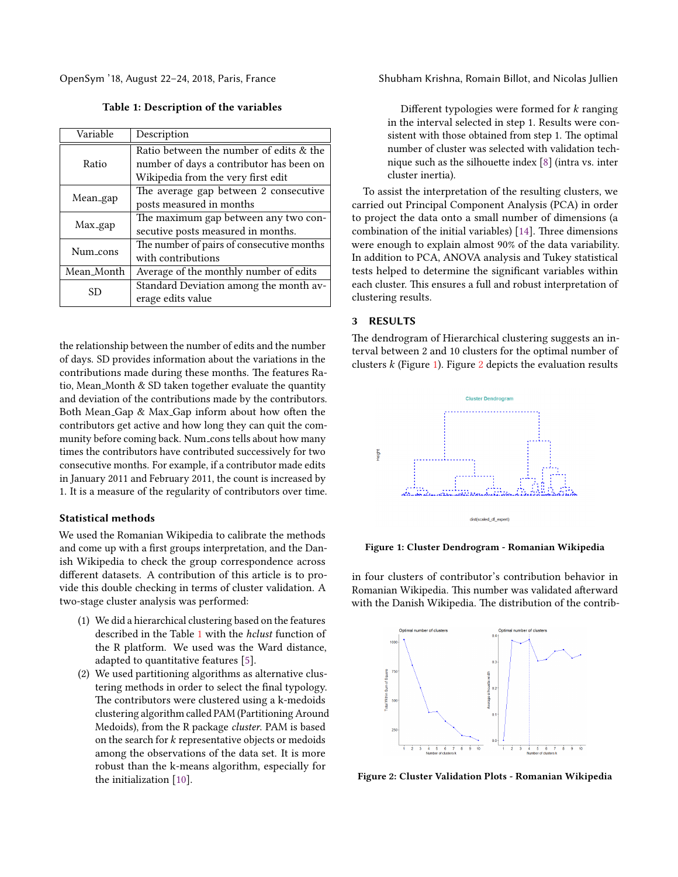<span id="page-1-0"></span>

| Variable   | Description                               |  |  |
|------------|-------------------------------------------|--|--|
| Ratio      | Ratio between the number of edits & the   |  |  |
|            | number of days a contributor has been on  |  |  |
|            | Wikipedia from the very first edit        |  |  |
| Mean_gap   | The average gap between 2 consecutive     |  |  |
|            | posts measured in months                  |  |  |
| Max_gap    | The maximum gap between any two con-      |  |  |
|            | secutive posts measured in months.        |  |  |
| Num_cons   | The number of pairs of consecutive months |  |  |
|            | with contributions                        |  |  |
| Mean_Month | Average of the monthly number of edits    |  |  |
| SD         | Standard Deviation among the month av-    |  |  |
|            | erage edits value                         |  |  |

Table 1: Description of the variables

the relationship between the number of edits and the number of days. SD provides information about the variations in the contributions made during these months. The features Ratio, Mean Month & SD taken together evaluate the quantity and deviation of the contributions made by the contributors. Both Mean Gap  $\&$  Max Gap inform about how often the contributors get active and how long they can quit the community before coming back. Num\_cons tells about how many times the contributors have contributed successively for two consecutive months. For example, if a contributor made edits in January 2011 and February 2011, the count is increased by 1. It is a measure of the regularity of contributors over time.

#### Statistical methods

We used the Romanian Wikipedia to calibrate the methods and come up with a first groups interpretation, and the Danish Wikipedia to check the group correspondence across different datasets. A contribution of this article is to provide this double checking in terms of cluster validation. A two-stage cluster analysis was performed:

- (1) We did a hierarchical clustering based on the features described in the Table [1](#page-1-0) with the hclust function of the R platform. We used was the Ward distance, adapted to quantitative features [\[5\]](#page-3-8).
- (2) We used partitioning algorithms as alternative clustering methods in order to select the final typology. The contributors were clustered using a k-medoids clustering algorithm called PAM (Partitioning Around Medoids), from the R package cluster. PAM is based on the search for k representative objects or medoids among the observations of the data set. It is more robust than the k-means algorithm, especially for the initialization [\[10\]](#page-3-9).

OpenSym '18, August 22–24, 2018, Paris, France Shubham Krishna, Romain Billot, and Nicolas Jullien

Different typologies were formed for  $k$  ranging in the interval selected in step 1. Results were consistent with those obtained from step 1. The optimal number of cluster was selected with validation technique such as the silhouette index  $[8]$  (intra vs. inter cluster inertia).

To assist the interpretation of the resulting clusters, we carried out Principal Component Analysis (PCA) in order to project the data onto a small number of dimensions (a combination of the initial variables) [\[14\]](#page-3-11). Three dimensions were enough to explain almost 90% of the data variability. In addition to PCA, ANOVA analysis and Tukey statistical tests helped to determine the significant variables within each cluster. This ensures a full and robust interpretation of clustering results.

### 3 RESULTS

The dendrogram of Hierarchical clustering suggests an interval between 2 and 10 clusters for the optimal number of clusters  $k$  (Figure [1\)](#page-1-1). Figure [2](#page-1-2) depicts the evaluation results

<span id="page-1-1"></span>

Figure 1: Cluster Dendrogram - Romanian Wikipedia

in four clusters of contributor's contribution behavior in Romanian Wikipedia. This number was validated afterward with the Danish Wikipedia. The distribution of the contrib-

<span id="page-1-2"></span>

Figure 2: Cluster Validation Plots - Romanian Wikipedia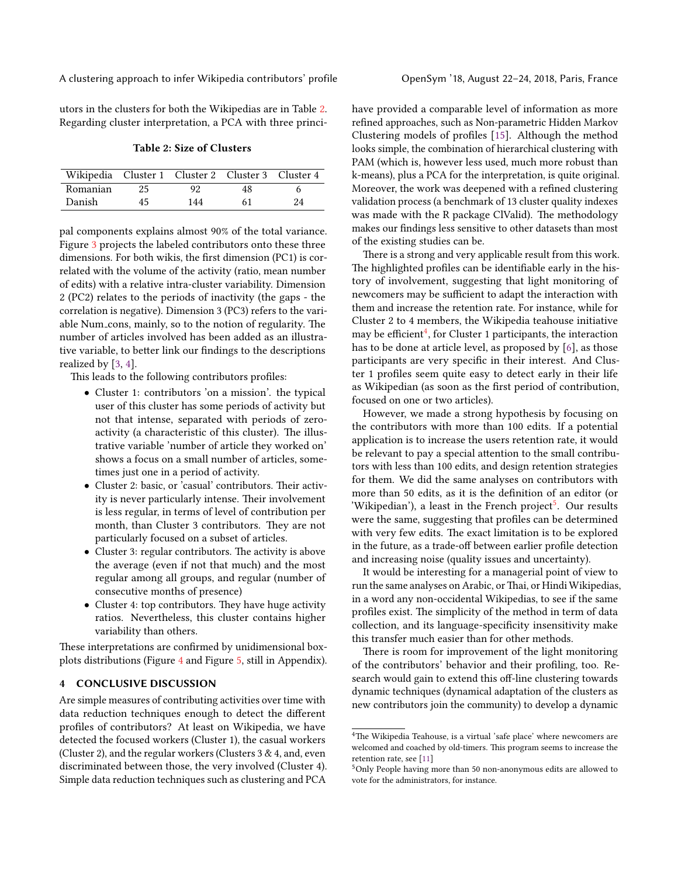A clustering approach to infer Wikipedia contributors' profile OpenSym '18, August 22–24, 2018, Paris, France

utors in the clusters for both the Wikipedias are in Table [2.](#page-2-0) Regarding cluster interpretation, a PCA with three princi-

#### Table 2: Size of Clusters

<span id="page-2-0"></span>

| Wikipedia Cluster 1 Cluster 2 Cluster 3 Cluster 4 |    |     |    |    |
|---------------------------------------------------|----|-----|----|----|
| Romanian                                          | 25 | 92  | 48 |    |
| Danish                                            | 45 | 144 | 61 | 24 |

pal components explains almost 90% of the total variance. Figure [3](#page-3-12) projects the labeled contributors onto these three dimensions. For both wikis, the first dimension (PC1) is correlated with the volume of the activity (ratio, mean number of edits) with a relative intra-cluster variability. Dimension 2 (PC2) relates to the periods of inactivity (the gaps - the correlation is negative). Dimension 3 (PC3) refers to the variable Num\_cons, mainly, so to the notion of regularity. The number of articles involved has been added as an illustrative variable, to better link our findings to the descriptions realized by [\[3,](#page-3-13) [4\]](#page-3-14).

This leads to the following contributors profiles:

- Cluster 1: contributors 'on a mission'. the typical user of this cluster has some periods of activity but not that intense, separated with periods of zeroactivity (a characteristic of this cluster). The illustrative variable 'number of article they worked on' shows a focus on a small number of articles, sometimes just one in a period of activity.
- Cluster 2: basic, or 'casual' contributors. Their activity is never particularly intense. Their involvement is less regular, in terms of level of contribution per month, than Cluster 3 contributors. They are not particularly focused on a subset of articles.
- $\bullet$  Cluster 3: regular contributors. The activity is above the average (even if not that much) and the most regular among all groups, and regular (number of consecutive months of presence)
- Cluster 4: top contributors. They have huge activity ratios. Nevertheless, this cluster contains higher variability than others.

These interpretations are confirmed by unidimensional boxplots distributions (Figure [4](#page-4-1) and Figure [5,](#page-4-1) still in Appendix).

# 4 CONCLUSIVE DISCUSSION

Are simple measures of contributing activities over time with data reduction techniques enough to detect the different profiles of contributors? At least on Wikipedia, we have detected the focused workers (Cluster 1), the casual workers (Cluster 2), and the regular workers (Clusters 3 & 4, and, even discriminated between those, the very involved (Cluster 4). Simple data reduction techniques such as clustering and PCA

have provided a comparable level of information as more refined approaches, such as Non-parametric Hidden Markov Clustering models of profiles  $[15]$ . Although the method looks simple, the combination of hierarchical clustering with PAM (which is, however less used, much more robust than k-means), plus a PCA for the interpretation, is quite original. Moreover, the work was deepened with a refined clustering validation process (a benchmark of 13 cluster quality indexes was made with the R package ClValid). The methodology makes our findings less sensitive to other datasets than most of the existing studies can be.

There is a strong and very applicable result from this work. The highlighted profiles can be identifiable early in the history of involvement, suggesting that light monitoring of newcomers may be sufficient to adapt the interaction with them and increase the retention rate. For instance, while for Cluster 2 to 4 members, the Wikipedia teahouse initiative may be efficient<sup>[4](#page-2-1)</sup>, for Cluster 1 participants, the interaction has to be done at article level, as proposed by [\[6\]](#page-3-15), as those participants are very specific in their interest. And Cluster 1 profiles seem quite easy to detect early in their life as Wikipedian (as soon as the first period of contribution, focused on one or two articles).

However, we made a strong hypothesis by focusing on the contributors with more than 100 edits. If a potential application is to increase the users retention rate, it would be relevant to pay a special attention to the small contributors with less than 100 edits, and design retention strategies for them. We did the same analyses on contributors with more than 50 edits, as it is the definition of an editor (or 'Wikipedian'), a least in the French project<sup>[5](#page-2-2)</sup>. Our results were the same, suggesting that profiles can be determined with very few edits. The exact limitation is to be explored in the future, as a trade-off between earlier profile detection and increasing noise (quality issues and uncertainty).

It would be interesting for a managerial point of view to run the same analyses on Arabic, or Thai, or Hindi Wikipedias, in a word any non-occidental Wikipedias, to see if the same profiles exist. The simplicity of the method in term of data collection, and its language-specificity insensitivity make this transfer much easier than for other methods.

There is room for improvement of the light monitoring of the contributors' behavior and their profiling, too. Research would gain to extend this off-line clustering towards dynamic techniques (dynamical adaptation of the clusters as new contributors join the community) to develop a dynamic

<span id="page-2-1"></span> $4$ The Wikipedia Teahouse, is a virtual 'safe place' where newcomers are welcomed and coached by old-timers. This program seems to increase the retention rate, see [\[11\]](#page-3-16)

<span id="page-2-2"></span><sup>5</sup>Only People having more than 50 non-anonymous edits are allowed to vote for the administrators, for instance.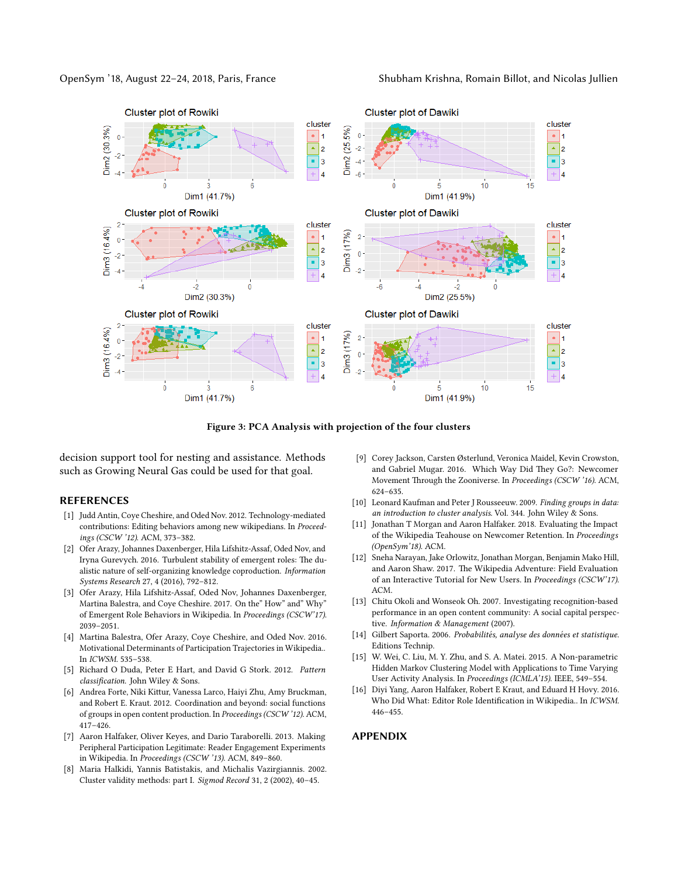<span id="page-3-12"></span>OpenSym '18, August 22–24, 2018, Paris, France Shubham Krishna, Romain Billot, and Nicolas Jullien



Figure 3: PCA Analysis with projection of the four clusters

decision support tool for nesting and assistance. Methods such as Growing Neural Gas could be used for that goal.

# **REFERENCES**

- <span id="page-3-0"></span>[1] Judd Antin, Coye Cheshire, and Oded Nov. 2012. Technology-mediated contributions: Editing behaviors among new wikipedians. In Proceedings (CSCW '12). ACM, 373–382.
- <span id="page-3-5"></span>[2] Ofer Arazy, Johannes Daxenberger, Hila Lifshitz-Assaf, Oded Nov, and Iryna Gurevych. 2016. Turbulent stability of emergent roles: The dualistic nature of self-organizing knowledge coproduction. Information Systems Research 27, 4 (2016), 792–812.
- <span id="page-3-13"></span>[3] Ofer Arazy, Hila Lifshitz-Assaf, Oded Nov, Johannes Daxenberger, Martina Balestra, and Coye Cheshire. 2017. On the" How" and" Why" of Emergent Role Behaviors in Wikipedia. In Proceedings (CSCW'17). 2039–2051.
- <span id="page-3-14"></span>[4] Martina Balestra, Ofer Arazy, Coye Cheshire, and Oded Nov. 2016. Motivational Determinants of Participation Trajectories in Wikipedia.. In ICWSM. 535–538.
- <span id="page-3-8"></span>[5] Richard O Duda, Peter E Hart, and David G Stork. 2012. Pattern classification. John Wiley & Sons.
- <span id="page-3-15"></span>[6] Andrea Forte, Niki Kittur, Vanessa Larco, Haiyi Zhu, Amy Bruckman, and Robert E. Kraut. 2012. Coordination and beyond: social functions of groups in open content production. In Proceedings (CSCW '12). ACM, 417–426.
- <span id="page-3-4"></span>[7] Aaron Halfaker, Oliver Keyes, and Dario Taraborelli. 2013. Making Peripheral Participation Legitimate: Reader Engagement Experiments in Wikipedia. In Proceedings (CSCW '13). ACM, 849–860.
- <span id="page-3-10"></span>[8] Maria Halkidi, Yannis Batistakis, and Michalis Vazirgiannis. 2002. Cluster validity methods: part I. Sigmod Record 31, 2 (2002), 40–45.
- <span id="page-3-1"></span>[9] Corey Jackson, Carsten Østerlund, Veronica Maidel, Kevin Crowston, and Gabriel Mugar. 2016. Which Way Did They Go?: Newcomer Movement Through the Zooniverse. In Proceedings (CSCW '16). ACM, 624–635.
- <span id="page-3-9"></span>[10] Leonard Kaufman and Peter J Rousseeuw. 2009. Finding groups in data: an introduction to cluster analysis. Vol. 344. John Wiley & Sons.
- <span id="page-3-16"></span>[11] Jonathan T Morgan and Aaron Halfaker. 2018. Evaluating the Impact of the Wikipedia Teahouse on Newcomer Retention. In Proceedings (OpenSym'18). ACM.
- <span id="page-3-2"></span>[12] Sneha Narayan, Jake Orlowitz, Jonathan Morgan, Benjamin Mako Hill, and Aaron Shaw. 2017. The Wikipedia Adventure: Field Evaluation of an Interactive Tutorial for New Users. In Proceedings (CSCW'17). ACM.
- <span id="page-3-3"></span>[13] Chitu Okoli and Wonseok Oh. 2007. Investigating recognition-based performance in an open content community: A social capital perspective. Information & Management (2007).
- <span id="page-3-11"></span>[14] Gilbert Saporta. 2006. Probabilités, analyse des données et statistique. Editions Technip.
- <span id="page-3-6"></span>[15] W. Wei, C. Liu, M. Y. Zhu, and S. A. Matei. 2015. A Non-parametric Hidden Markov Clustering Model with Applications to Time Varying User Activity Analysis. In Proceedings (ICMLA'15). IEEE, 549–554.
- <span id="page-3-7"></span>[16] Diyi Yang, Aaron Halfaker, Robert E Kraut, and Eduard H Hovy. 2016. Who Did What: Editor Role Identification in Wikipedia.. In ICWSM. 446–455.

#### APPENDIX